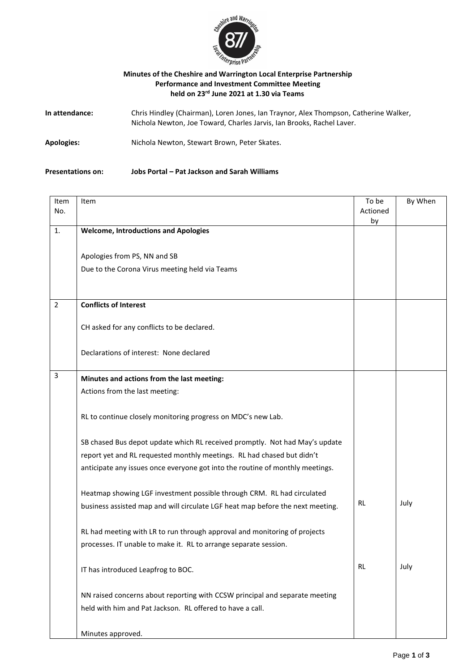

## **Minutes of the Cheshire and Warrington Local Enterprise Partnership Performance and Investment Committee Meeting held on 23rd June 2021 at 1.30 via Teams**

| In attendance: | Chris Hindley (Chairman), Loren Jones, Ian Traynor, Alex Thompson, Catherine Walker,<br>Nichola Newton, Joe Toward, Charles Jarvis, Ian Brooks, Rachel Laver. |
|----------------|---------------------------------------------------------------------------------------------------------------------------------------------------------------|
| Apologies:     | Nichola Newton, Stewart Brown, Peter Skates.                                                                                                                  |

## **Presentations on: Jobs Portal – Pat Jackson and Sarah Williams**

| Item<br>No.    | Item                                                                           | To be<br>Actioned | By When |
|----------------|--------------------------------------------------------------------------------|-------------------|---------|
|                |                                                                                | by                |         |
| 1.             | <b>Welcome, Introductions and Apologies</b>                                    |                   |         |
|                |                                                                                |                   |         |
|                | Apologies from PS, NN and SB                                                   |                   |         |
|                | Due to the Corona Virus meeting held via Teams                                 |                   |         |
|                |                                                                                |                   |         |
|                |                                                                                |                   |         |
| $\overline{2}$ | <b>Conflicts of Interest</b>                                                   |                   |         |
|                |                                                                                |                   |         |
|                | CH asked for any conflicts to be declared.                                     |                   |         |
|                |                                                                                |                   |         |
|                | Declarations of interest: None declared                                        |                   |         |
|                |                                                                                |                   |         |
| 3              | Minutes and actions from the last meeting:                                     |                   |         |
|                | Actions from the last meeting:                                                 |                   |         |
|                |                                                                                |                   |         |
|                | RL to continue closely monitoring progress on MDC's new Lab.                   |                   |         |
|                |                                                                                |                   |         |
|                | SB chased Bus depot update which RL received promptly. Not had May's update    |                   |         |
|                | report yet and RL requested monthly meetings. RL had chased but didn't         |                   |         |
|                | anticipate any issues once everyone got into the routine of monthly meetings.  |                   |         |
|                |                                                                                |                   |         |
|                | Heatmap showing LGF investment possible through CRM. RL had circulated         |                   |         |
|                | business assisted map and will circulate LGF heat map before the next meeting. | <b>RL</b>         | July    |
|                |                                                                                |                   |         |
|                | RL had meeting with LR to run through approval and monitoring of projects      |                   |         |
|                | processes. IT unable to make it. RL to arrange separate session.               |                   |         |
|                |                                                                                |                   |         |
|                | IT has introduced Leapfrog to BOC.                                             | RL                | July    |
|                |                                                                                |                   |         |
|                | NN raised concerns about reporting with CCSW principal and separate meeting    |                   |         |
|                | held with him and Pat Jackson. RL offered to have a call.                      |                   |         |
|                |                                                                                |                   |         |
|                |                                                                                |                   |         |
|                | Minutes approved.                                                              |                   |         |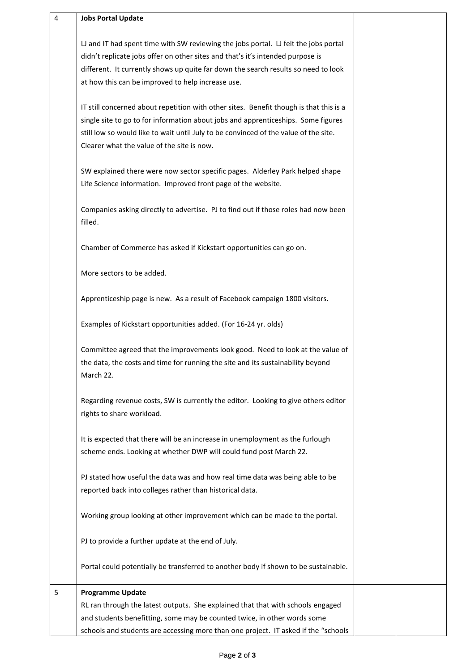| $\overline{4}$ | <b>Jobs Portal Update</b>                                                                                                                                                                                                                                                                                         |  |
|----------------|-------------------------------------------------------------------------------------------------------------------------------------------------------------------------------------------------------------------------------------------------------------------------------------------------------------------|--|
|                | LJ and IT had spent time with SW reviewing the jobs portal. LJ felt the jobs portal<br>didn't replicate jobs offer on other sites and that's it's intended purpose is<br>different. It currently shows up quite far down the search results so need to look<br>at how this can be improved to help increase use.  |  |
|                | IT still concerned about repetition with other sites. Benefit though is that this is a<br>single site to go to for information about jobs and apprenticeships. Some figures<br>still low so would like to wait until July to be convinced of the value of the site.<br>Clearer what the value of the site is now. |  |
|                | SW explained there were now sector specific pages. Alderley Park helped shape<br>Life Science information. Improved front page of the website.                                                                                                                                                                    |  |
|                | Companies asking directly to advertise. PJ to find out if those roles had now been<br>filled.                                                                                                                                                                                                                     |  |
|                | Chamber of Commerce has asked if Kickstart opportunities can go on.                                                                                                                                                                                                                                               |  |
|                | More sectors to be added.                                                                                                                                                                                                                                                                                         |  |
|                | Apprenticeship page is new. As a result of Facebook campaign 1800 visitors.                                                                                                                                                                                                                                       |  |
|                | Examples of Kickstart opportunities added. (For 16-24 yr. olds)                                                                                                                                                                                                                                                   |  |
|                | Committee agreed that the improvements look good. Need to look at the value of<br>the data, the costs and time for running the site and its sustainability beyond<br>March 22.                                                                                                                                    |  |
|                | Regarding revenue costs, SW is currently the editor. Looking to give others editor<br>rights to share workload.                                                                                                                                                                                                   |  |
|                | It is expected that there will be an increase in unemployment as the furlough<br>scheme ends. Looking at whether DWP will could fund post March 22.                                                                                                                                                               |  |
|                | PJ stated how useful the data was and how real time data was being able to be<br>reported back into colleges rather than historical data.                                                                                                                                                                         |  |
|                | Working group looking at other improvement which can be made to the portal.                                                                                                                                                                                                                                       |  |
|                | PJ to provide a further update at the end of July.                                                                                                                                                                                                                                                                |  |
|                | Portal could potentially be transferred to another body if shown to be sustainable.                                                                                                                                                                                                                               |  |
| 5              | <b>Programme Update</b><br>RL ran through the latest outputs. She explained that that with schools engaged<br>and students benefitting, some may be counted twice, in other words some<br>schools and students are accessing more than one project. IT asked if the "schools                                      |  |